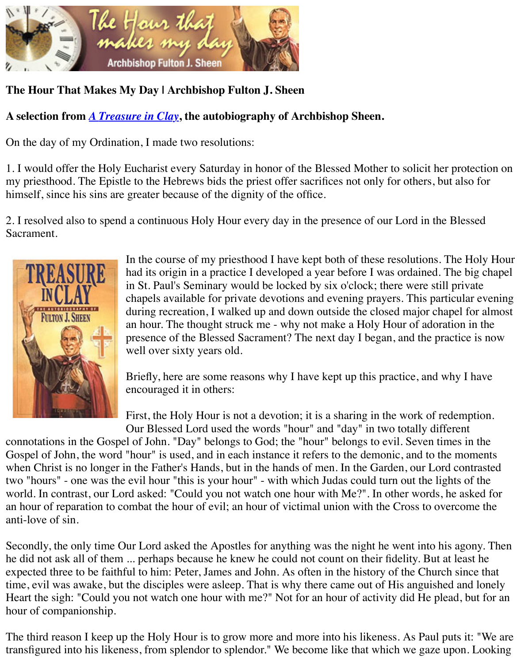## **The Hour That Makes My Day | Archbishop Fulton J. Sheen**

## **A selection from** *A Treasure in Clay***, the autobiography of Archbishop Sheen.**

On the day of my Ordination, I made two resolutions:

1. I would offer the Holy Eucharist every Saturday in honor of the Blessed Mother to solicit he my priesthood. The Epistle to the Hebrews bids the priest offer sacrifices not only for others, but also formula himself, since his [sins are greater beca](http://www.ignatius.com/ViewProduct.aspx?SID=1&Product_ID=235&AFID=12&)use of the dignity of the office.

2. I resolved also to spend a continuous Holy Hour every day in the presence of our Lord in the Sacrament.



In the course of my priesthood I have kept both of these resolutions. had its origin in a practice I developed a year before I was ordained. in St. Paul's Seminary would be locked by six o'clock; there were still chapels available for private devotions and evening prayers. This particular events during recreation, I walked up and down outside the closed major chapel an hour. The thought struck me - why not make a Holy Hour of ador presence of the Blessed Sacrament? The next day I began, and the proposer well over sixty years old.

Briefly, here are some reasons why I have kept up this practice, and encouraged it in others:

First, the Holy Hour is not a devotion; it is a sharing in the work of redemption. Our Blessed Lord used the words "hour" and "day" in two totally dif

connotations in the Gospel of John. "Day" belongs to God; the "hour" belongs to evil. Seven ti Gospel of John, the word "hour" is used, and in each instance it refers to the demonic, and to the when Christ is no longer in the Father's Hands, but in the hands of men. In the Garden, our Lorg contrary contra two "hours" - one was the evil hour "this is your hour" - with which Judas could turn out the li world. In contrast, our Lord asked: "Could you not watch one hour with Me?". In other words, an hour of reparation to combat the hour of evil; an hour of victimal union with the Cross to over anti-love of sin.

Secondly, the only time Our Lord asked the Apostles for anything was the night he went into he he did not ask all of them ... perhaps because he knew he could not count on their fidelity. But expected three to be faithful to him: Peter, James and John. As often in the history of the Church time, evil was awake, but the disciples were asleep. That is why there came out of His anguish Heart the sigh: "Could you not watch one hour with me?" Not for an hour of activity did He pl hour of companionship.

The third reason I keep up the Holy Hour is to grow more and more into his likeness. As Paul transfigured into his likeness, from splendor to splendor." We become like that which we gaze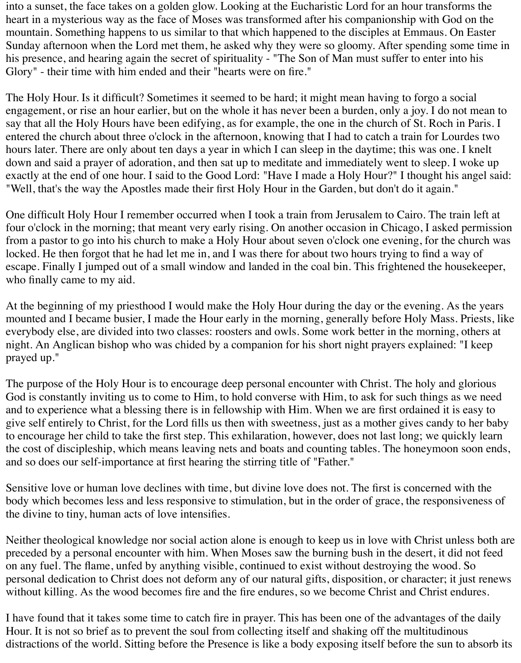into a sunset, the face takes on a golden glow. Looking at the Eucharistic Lord for an hour transforms the heart in a mysterious way as the face of Moses was transformed after his companionship with God on the mountain. Something happens to us similar to that which happened to the disciples at Emmaus. On Easter Sunday afternoon when the Lord met them, he asked why they were so gloomy. After spending some time in his presence, and hearing again the secret of spirituality - "The Son of Man must suffer to enter into his Glory" - their time with him ended and their "hearts were on fire."

The Holy Hour. Is it difficult? Sometimes it seemed to be hard; it might mean having to forgo a social engagement, or rise an hour earlier, but on the whole it has never been a burden, only a joy. I do not mean to say that all the Holy Hours have been edifying, as for example, the one in the church of St. Roch in Paris. I entered the church about three o'clock in the afternoon, knowing that I had to catch a train for Lourdes two hours later. There are only about ten days a year in which I can sleep in the daytime; this was one. I knelt down and said a prayer of adoration, and then sat up to meditate and immediately went to sleep. I woke up exactly at the end of one hour. I said to the Good Lord: "Have I made a Holy Hour?" I thought his angel said: "Well, that's the way the Apostles made their first Holy Hour in the Garden, but don't do it again."

One difficult Holy Hour I remember occurred when I took a train from Jerusalem to Cairo. The train left at four o'clock in the morning; that meant very early rising. On another occasion in Chicago, I asked permission from a pastor to go into his church to make a Holy Hour about seven o'clock one evening, for the church was locked. He then forgot that he had let me in, and I was there for about two hours trying to find a way of escape. Finally I jumped out of a small window and landed in the coal bin. This frightened the housekeeper, who finally came to my aid.

At the beginning of my priesthood I would make the Holy Hour during the day or the evening. As the years mounted and I became busier, I made the Hour early in the morning, generally before Holy Mass. Priests, like everybody else, are divided into two classes: roosters and owls. Some work better in the morning, others at night. An Anglican bishop who was chided by a companion for his short night prayers explained: "I keep prayed up."

The purpose of the Holy Hour is to encourage deep personal encounter with Christ. The holy and glorious God is constantly inviting us to come to Him, to hold converse with Him, to ask for such things as we need and to experience what a blessing there is in fellowship with Him. When we are first ordained it is easy to give self entirely to Christ, for the Lord fills us then with sweetness, just as a mother gives candy to her baby to encourage her child to take the first step. This exhilaration, however, does not last long; we quickly learn the cost of discipleship, which means leaving nets and boats and counting tables. The honeymoon soon ends, and so does our self-importance at first hearing the stirring title of "Father."

Sensitive love or human love declines with time, but divine love does not. The first is concerned with the body which becomes less and less responsive to stimulation, but in the order of grace, the responsiveness of the divine to tiny, human acts of love intensifies.

Neither theological knowledge nor social action alone is enough to keep us in love with Christ unless both are preceded by a personal encounter with him. When Moses saw the burning bush in the desert, it did not feed on any fuel. The flame, unfed by anything visible, continued to exist without destroying the wood. So personal dedication to Christ does not deform any of our natural gifts, disposition, or character; it just renews without killing. As the wood becomes fire and the fire endures, so we become Christ and Christ endures.

I have found that it takes some time to catch fire in prayer. This has been one of the advantages of the daily Hour. It is not so brief as to prevent the soul from collecting itself and shaking off the multitudinous distractions of the world. Sitting before the Presence is like a body exposing itself before the sun to absorb its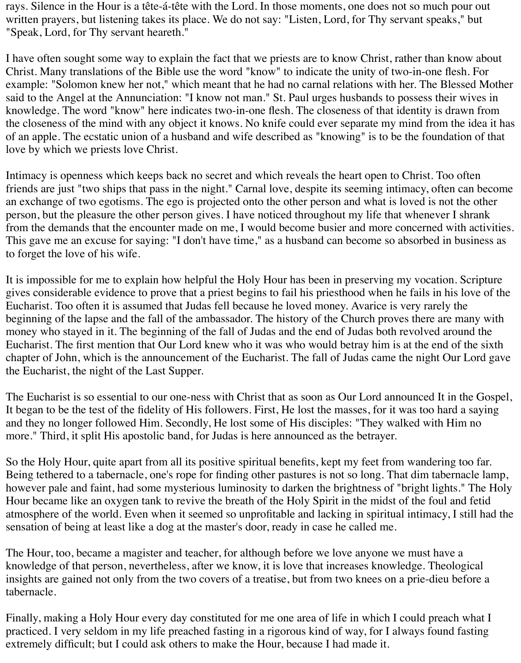rays. Silence in the Hour is a tête-á-tête with the Lord. In those moments, one does not so much pour out written prayers, but listening takes its place. We do not say: "Listen, Lord, for Thy servant speaks," but "Speak, Lord, for Thy servant heareth."

I have often sought some way to explain the fact that we priests are to know Christ, rather than know about Christ. Many translations of the Bible use the word "know" to indicate the unity of two-in-one flesh. For example: "Solomon knew her not," which meant that he had no carnal relations with her. The Blessed Mother said to the Angel at the Annunciation: "I know not man." St. Paul urges husbands to possess their wives in knowledge. The word "know" here indicates two-in-one flesh. The closeness of that identity is drawn from the closeness of the mind with any object it knows. No knife could ever separate my mind from the idea it has of an apple. The ecstatic union of a husband and wife described as "knowing" is to be the foundation of that love by which we priests love Christ.

Intimacy is openness which keeps back no secret and which reveals the heart open to Christ. Too often friends are just "two ships that pass in the night." Carnal love, despite its seeming intimacy, often can become an exchange of two egotisms. The ego is projected onto the other person and what is loved is not the other person, but the pleasure the other person gives. I have noticed throughout my life that whenever I shrank from the demands that the encounter made on me, I would become busier and more concerned with activities. This gave me an excuse for saying: "I don't have time," as a husband can become so absorbed in business as to forget the love of his wife.

It is impossible for me to explain how helpful the Holy Hour has been in preserving my vocation. Scripture gives considerable evidence to prove that a priest begins to fail his priesthood when he fails in his love of the Eucharist. Too often it is assumed that Judas fell because he loved money. Avarice is very rarely the beginning of the lapse and the fall of the ambassador. The history of the Church proves there are many with money who stayed in it. The beginning of the fall of Judas and the end of Judas both revolved around the Eucharist. The first mention that Our Lord knew who it was who would betray him is at the end of the sixth chapter of John, which is the announcement of the Eucharist. The fall of Judas came the night Our Lord gave the Eucharist, the night of the Last Supper.

The Eucharist is so essential to our one-ness with Christ that as soon as Our Lord announced It in the Gospel, It began to be the test of the fidelity of His followers. First, He lost the masses, for it was too hard a saying and they no longer followed Him. Secondly, He lost some of His disciples: "They walked with Him no more." Third, it split His apostolic band, for Judas is here announced as the betrayer.

So the Holy Hour, quite apart from all its positive spiritual benefits, kept my feet from wandering too far. Being tethered to a tabernacle, one's rope for finding other pastures is not so long. That dim tabernacle lamp, however pale and faint, had some mysterious luminosity to darken the brightness of "bright lights." The Holy Hour became like an oxygen tank to revive the breath of the Holy Spirit in the midst of the foul and fetid atmosphere of the world. Even when it seemed so unprofitable and lacking in spiritual intimacy, I still had the sensation of being at least like a dog at the master's door, ready in case he called me.

The Hour, too, became a magister and teacher, for although before we love anyone we must have a knowledge of that person, nevertheless, after we know, it is love that increases knowledge. Theological insights are gained not only from the two covers of a treatise, but from two knees on a prie-dieu before a tabernacle.

Finally, making a Holy Hour every day constituted for me one area of life in which I could preach what I practiced. I very seldom in my life preached fasting in a rigorous kind of way, for I always found fasting extremely difficult; but I could ask others to make the Hour, because I had made it.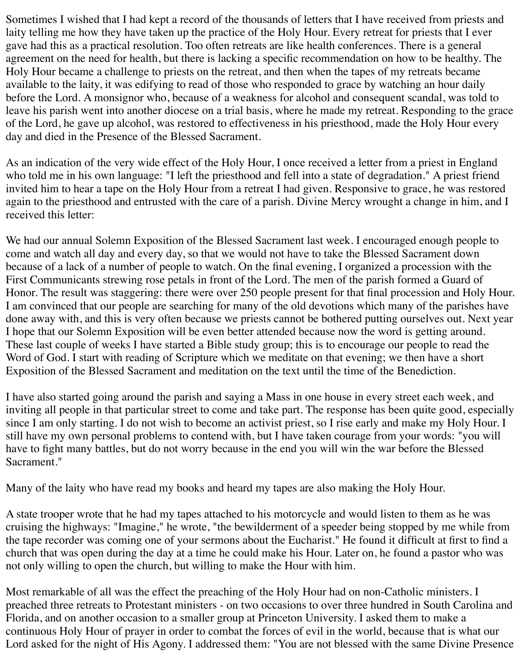Sometimes I wished that I had kept a record of the thousands of letters that I have received from priests and laity telling me how they have taken up the practice of the Holy Hour. Every retreat for priests that I ever gave had this as a practical resolution. Too often retreats are like health conferences. There is a general agreement on the need for health, but there is lacking a specific recommendation on how to be healthy. The Holy Hour became a challenge to priests on the retreat, and then when the tapes of my retreats became available to the laity, it was edifying to read of those who responded to grace by watching an hour daily before the Lord. A monsignor who, because of a weakness for alcohol and consequent scandal, was told to leave his parish went into another diocese on a trial basis, where he made my retreat. Responding to the grace of the Lord, he gave up alcohol, was restored to effectiveness in his priesthood, made the Holy Hour every day and died in the Presence of the Blessed Sacrament.

As an indication of the very wide effect of the Holy Hour, I once received a letter from a priest in England who told me in his own language: "I left the priesthood and fell into a state of degradation." A priest friend invited him to hear a tape on the Holy Hour from a retreat I had given. Responsive to grace, he was restored again to the priesthood and entrusted with the care of a parish. Divine Mercy wrought a change in him, and I received this letter:

We had our annual Solemn Exposition of the Blessed Sacrament last week. I encouraged enough people to come and watch all day and every day, so that we would not have to take the Blessed Sacrament down because of a lack of a number of people to watch. On the final evening, I organized a procession with the First Communicants strewing rose petals in front of the Lord. The men of the parish formed a Guard of Honor. The result was staggering: there were over 250 people present for that final procession and Holy Hour. I am convinced that our people are searching for many of the old devotions which many of the parishes have done away with, and this is very often because we priests cannot be bothered putting ourselves out. Next year I hope that our Solemn Exposition will be even better attended because now the word is getting around. These last couple of weeks I have started a Bible study group; this is to encourage our people to read the Word of God. I start with reading of Scripture which we meditate on that evening; we then have a short Exposition of the Blessed Sacrament and meditation on the text until the time of the Benediction.

I have also started going around the parish and saying a Mass in one house in every street each week, and inviting all people in that particular street to come and take part. The response has been quite good, especially since I am only starting. I do not wish to become an activist priest, so I rise early and make my Holy Hour. I still have my own personal problems to contend with, but I have taken courage from your words: "you will have to fight many battles, but do not worry because in the end you will win the war before the Blessed Sacrament."

Many of the laity who have read my books and heard my tapes are also making the Holy Hour.

A state trooper wrote that he had my tapes attached to his motorcycle and would listen to them as he was cruising the highways: "Imagine," he wrote, "the bewilderment of a speeder being stopped by me while from the tape recorder was coming one of your sermons about the Eucharist." He found it difficult at first to find a church that was open during the day at a time he could make his Hour. Later on, he found a pastor who was not only willing to open the church, but willing to make the Hour with him.

Most remarkable of all was the effect the preaching of the Holy Hour had on non-Catholic ministers. I preached three retreats to Protestant ministers - on two occasions to over three hundred in South Carolina and Florida, and on another occasion to a smaller group at Princeton University. I asked them to make a continuous Holy Hour of prayer in order to combat the forces of evil in the world, because that is what our Lord asked for the night of His Agony. I addressed them: "You are not blessed with the same Divine Presence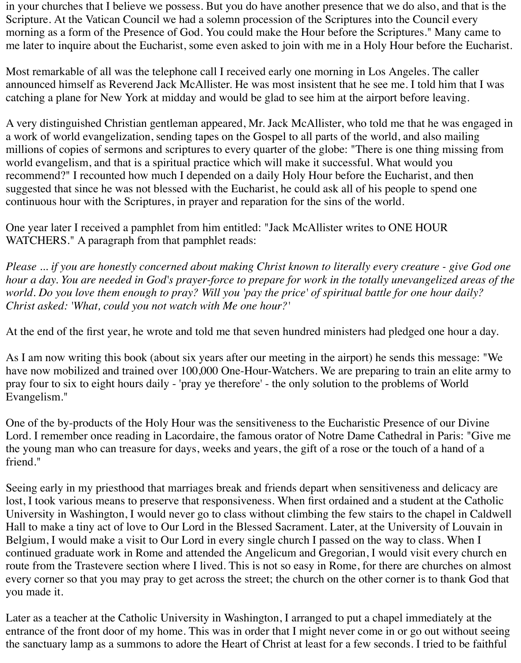in your churches that I believe we possess. But you do have another presence that we do also, and that is the Scripture. At the Vatican Council we had a solemn procession of the Scriptures into the Council every morning as a form of the Presence of God. You could make the Hour before the Scriptures." Many came to me later to inquire about the Eucharist, some even asked to join with me in a Holy Hour before the Eucharist.

Most remarkable of all was the telephone call I received early one morning in Los Angeles. The caller announced himself as Reverend Jack McAllister. He was most insistent that he see me. I told him that I was catching a plane for New York at midday and would be glad to see him at the airport before leaving.

A very distinguished Christian gentleman appeared, Mr. Jack McAllister, who told me that he was engaged in a work of world evangelization, sending tapes on the Gospel to all parts of the world, and also mailing millions of copies of sermons and scriptures to every quarter of the globe: "There is one thing missing from world evangelism, and that is a spiritual practice which will make it successful. What would you recommend?" I recounted how much I depended on a daily Holy Hour before the Eucharist, and then suggested that since he was not blessed with the Eucharist, he could ask all of his people to spend one continuous hour with the Scriptures, in prayer and reparation for the sins of the world.

One year later I received a pamphlet from him entitled: "Jack McAllister writes to ONE HOUR WATCHERS." A paragraph from that pamphlet reads:

*Please ... if you are honestly concerned about making Christ known to literally every creature - give God one hour a day. You are needed in God's prayer-force to prepare for work in the totally unevangelized areas of the world. Do you love them enough to pray? Will you 'pay the price' of spiritual battle for one hour daily? Christ asked: 'What, could you not watch with Me one hour?'*

At the end of the first year, he wrote and told me that seven hundred ministers had pledged one hour a day.

As I am now writing this book (about six years after our meeting in the airport) he sends this message: "We have now mobilized and trained over 100,000 One-Hour-Watchers. We are preparing to train an elite army to pray four to six to eight hours daily - 'pray ye therefore' - the only solution to the problems of World Evangelism."

One of the by-products of the Holy Hour was the sensitiveness to the Eucharistic Presence of our Divine Lord. I remember once reading in Lacordaire, the famous orator of Notre Dame Cathedral in Paris: "Give me the young man who can treasure for days, weeks and years, the gift of a rose or the touch of a hand of a friend."

Seeing early in my priesthood that marriages break and friends depart when sensitiveness and delicacy are lost, I took various means to preserve that responsiveness. When first ordained and a student at the Catholic University in Washington, I would never go to class without climbing the few stairs to the chapel in Caldwell Hall to make a tiny act of love to Our Lord in the Blessed Sacrament. Later, at the University of Louvain in Belgium, I would make a visit to Our Lord in every single church I passed on the way to class. When I continued graduate work in Rome and attended the Angelicum and Gregorian, I would visit every church en route from the Trastevere section where I lived. This is not so easy in Rome, for there are churches on almost every corner so that you may pray to get across the street; the church on the other corner is to thank God that you made it.

Later as a teacher at the Catholic University in Washington, I arranged to put a chapel immediately at the entrance of the front door of my home. This was in order that I might never come in or go out without seeing the sanctuary lamp as a summons to adore the Heart of Christ at least for a few seconds. I tried to be faithful